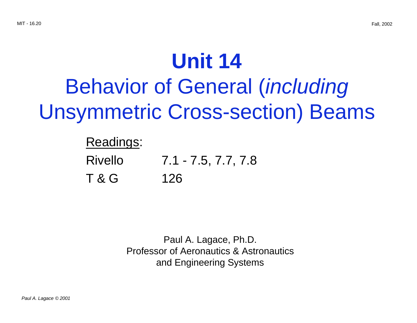# **Unit 14** Behavior of General (including Unsymmetric Cross-section) Beams

## Readings:

Rivello 7.1 - 7.5, 7.7, 7.8 T & G 126

> Paul A. Lagace, Ph.D. Professor of Aeronautics & Astronautics and Engineering Systems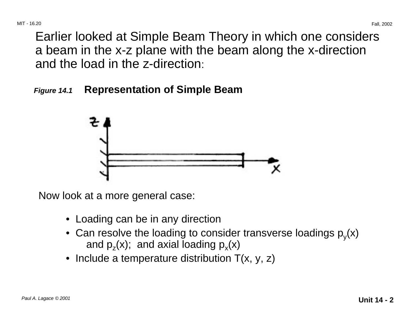Earlier looked at Simple Beam Theory in which one considers a beam in the x-z plane with the beam along the x-direction and the load in the z-direction:

**Figure 14.1 Representation of Simple Beam**



Now look at a more general case:

- Loading can be in any direction
- Can resolve the loading to consider transverse loadings  $p_y(x)$  and  $p_z(x)$ ; and axial loading  $p_x(x)$
- Include a temperature distribution  $T(x, y, z)$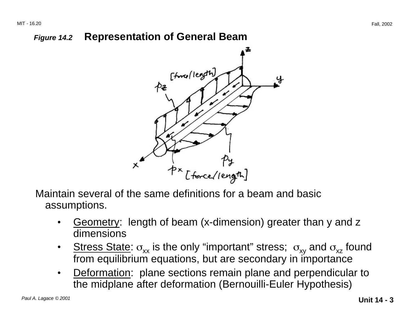### **Figure 14.2 Representation of General Beam**



Maintain several of the same definitions for a beam and basic assumptions.

- • Geometry: length of beam (x-dimension) greater than y and z dimensions
- •Stress State:  $\sigma_{xx}$  is the only "important" stress;  $\sigma_{xy}$  and  $\sigma_{xz}$  found from equilibrium equations, but are secondary in importance
- • Deformation: plane sections remain plane and perpendicular to the midplane after deformation (Bernouilli-Euler Hypothesis)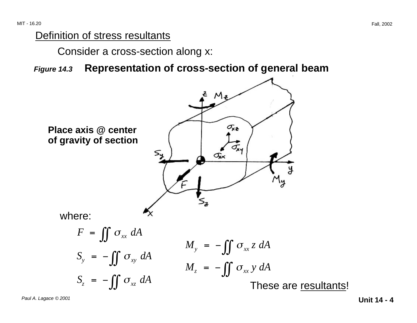#### Definition of stress resultants

Consider a cross-section along x:

**Figure 14.3 Representation of cross-section of general beam**



**Unit 14 - 4** Paul A. Lagace © 2001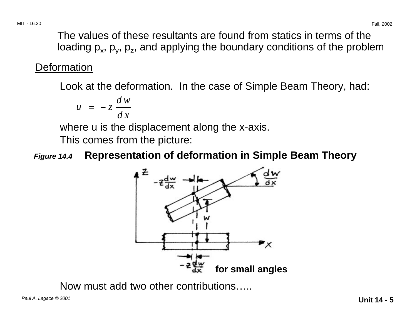The values of these resultants are found from statics in terms of the loading  $p_x$ ,  $p_y$ ,  $p_z$ , and applying the boundary conditions of the problem

### **Deformation**

Look at the deformation. In the case of Simple Beam Theory, had:

$$
u = -z \, \frac{dw}{dx}
$$

where u is the displacement along the x-axis.

This comes from the picture:

**Figure 14.4 Representation of deformation in Simple Beam Theory**



Now must add two other contributions…..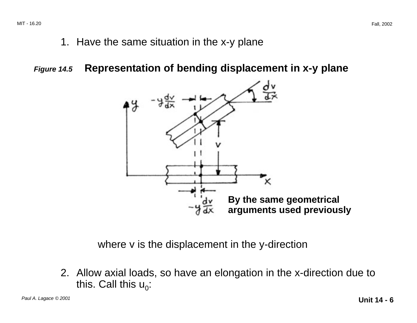1. Have the same situation in the x-y plane

**Figure 14.5 Representation of bending displacement in x-y plane**



where v is the displacement in the y-direction

2. Allow axial loads, so have an elongation in the x-direction due to this. Call this  $u_0$ :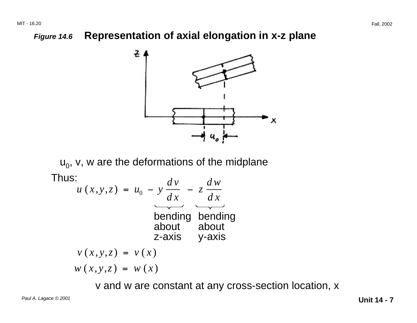### **Figure 14.6 Representation of axial elongation in x-z plane**



 $u_0$ , v, w are the deformations of the midplane Thus:

$$
u(x, y, z) = u_0 - y \frac{dv}{dx} - z \frac{dw}{dx}
$$
  
bending  
about  
z-axis  
 $v(x, y, z) = v(x)$   
 $w(x, y, z) = v(x)$ 

v and w are constant at any cross-section location, x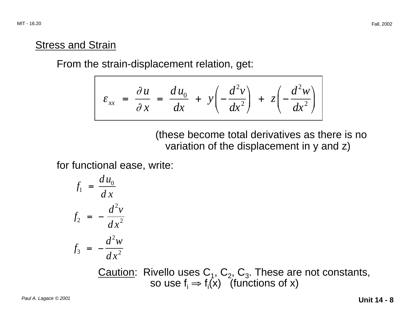### **Stress and Strain**

From the strain-displacement relation, get:

$$
\varepsilon_{xx} = \frac{\partial u}{\partial x} = \frac{du_0}{dx} + y \left( -\frac{d^2 v}{dx^2} \right) + z \left( -\frac{d^2 w}{dx^2} \right)
$$

### (these become total derivatives as there is no variation of the displacement in y and z)

for functional ease, write:

$$
f_1 = \frac{du_0}{dx}
$$
  

$$
f_2 = -\frac{d^2v}{dx^2}
$$
  

$$
f_3 = -\frac{d^2w}{dx^2}
$$

Caution: Rivello uses  $C_1$ ,  $C_2$ ,  $C_3$ . These are not constants, so use  $f_i \Rightarrow f_i(x)$  (functions of x)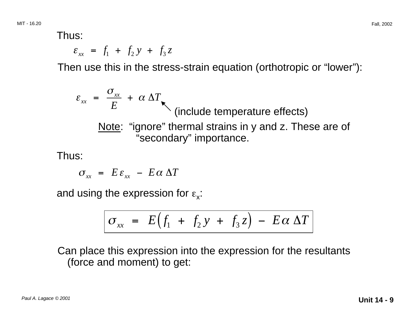Thus:

 $\varepsilon_{xx} = f_1 + f_2y + f_3z$ 

Then use this in the stress-strain equation (orthotropic or "lower"):

$$
\varepsilon_{xx} = \frac{\sigma_{xx}}{E} + \alpha \Delta T
$$
\n(include temperature effects)\n  
\nNote: "ignore" thermal strains in y and z. These are of "secondary" importance.

Thus:

$$
\sigma_{xx} = E \varepsilon_{xx} - E \alpha \Delta T
$$

and using the expression for  $\varepsilon_{\rm x}$ :

$$
\sigma_{xx} = E(f_1 + f_2 y + f_3 z) - E\alpha \Delta T
$$

Can place this expression into the expression for the resultants (force and moment) to get: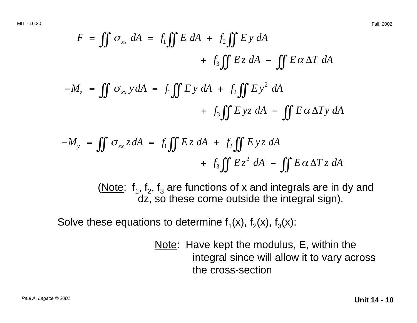$$
F = \iint \sigma_{xx} dA = f_1 \iint E dA + f_2 \iint E y dA
$$
  
+  $f_3 \iint E z dA - \iint E \alpha \Delta T dA$   
- $M_z = \iint \sigma_{xx} y dA = f_1 \iint E y dA + f_2 \iint E y^2 dA$   
+  $f_3 \iint E y z dA - \iint E \alpha \Delta T y dA$ 

$$
-M_{y} = \iint \sigma_{xx} z dA = f_{1} \iint E z dA + f_{2} \iint E y z dA
$$
  
+  $f_{3} \iint E z^{2} dA - \iint E \alpha \Delta T z dA$ 

(Note:  $f_1$ ,  $f_2$ ,  $f_3$  are functions of x and integrals are in dy and dz, so these come outside the integral sign).

Solve these equations to determine  $f_1(x)$ ,  $f_2(x)$ ,  $f_3(x)$ :

Note: Have kept the modulus, E, within the integral since will allow it to vary across the cross-section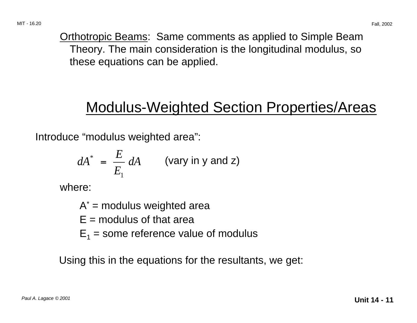Orthotropic Beams: Same comments as applied to Simple Beam Theory. The main consideration is the longitudinal modulus, so these equations can be applied.

### Modulus-Weighted Section Properties/Areas

Introduce "modulus weighted area":

$$
dA^* = \frac{E}{E_1} dA \qquad \text{(vary in y and z)}
$$

where:

- $A^*$  = modulus weighted area
- $F =$  modulus of that area
- $E_1$  = some reference value of modulus

Using this in the equations for the resultants, we get: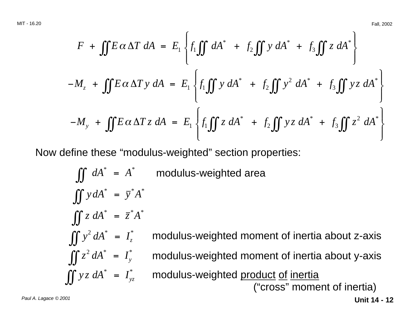$$
F + \iint E \alpha \Delta T \, dA = E_1 \left\{ f_1 \iint dA^* + f_2 \iint y \, dA^* + f_3 \iint z \, dA^* \right\}
$$
  

$$
-M_z + \iint E \alpha \Delta T \, y \, dA = E_1 \left\{ f_1 \iint y \, dA^* + f_2 \iint y^2 \, dA^* + f_3 \iint yz \, dA^* \right\}
$$
  

$$
-M_y + \iint E \alpha \Delta T z \, dA = E_1 \left\{ f_1 \iint z \, dA^* + f_2 \iint yz \, dA^* + f_3 \iint z^2 \, dA^* \right\}
$$

Now define these "modulus-weighted" section properties:

*dA <sup>A</sup>* modulus-weighted area \* \* ∫∫ <sup>=</sup> *<sup>y</sup> dA <sup>y</sup> <sup>A</sup>* \* \*\* ∫∫ <sup>=</sup> *<sup>z</sup> dA <sup>z</sup> <sup>A</sup>* \* \*\* ∫∫ <sup>=</sup> *<sup>y</sup> dA Iz* <sup>2</sup> \* ∫∫ <sup>=</sup> \* *<sup>z</sup> dA Iy* <sup>2</sup> \* ∫∫ <sup>=</sup> \* *<sup>y</sup> <sup>z</sup> dA Iyz* \* ∫∫ <sup>=</sup> \* modulus-weighted moment of inertia about z-axis modulus-weighted moment of inertia about y-axis modulus-weighted product of inertia ("cross" moment of inertia)

**Unit 14 - 12** Paul A. Lagace © 2001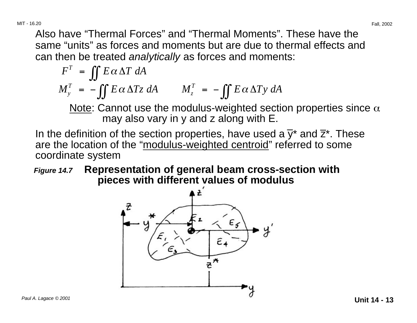MIT - 16.20 Fall, 2002

Also have "Thermal Forces" and "Thermal Moments". These have the same "units" as forces and moments but are due to thermal effects and can then be treated analytically as forces and moments:

$$
FT = \iint E \alpha \Delta T dA
$$
  

$$
MTy = - \iint E \alpha \Delta Tz dA
$$
 
$$
MTz = - \iint E \alpha \Delta Ty dA
$$

Note: Cannot use the modulus-weighted section properties since  $\alpha$ may also vary in y and z along with E.

In the definition of the section properties, have used a  $\overline{\mathsf{y}}^\star$  and  $\overline{\mathsf{z}}^\star.$  These are the location of the "modulus-weighted centroid" referred to some coordinate system

**Figure 14.7 Representation of general beam cross-section with pieces with different values of modulus**

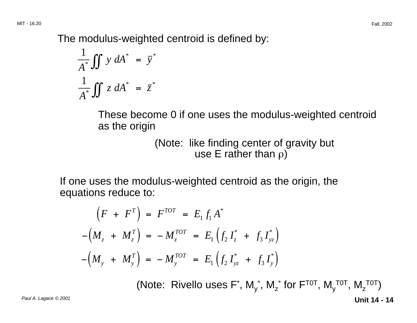The modulus-weighted centroid is defined by:

$$
\frac{1}{A^*} \iint y \, dA^* = \overline{y}^*
$$

$$
\frac{1}{A^*} \iint z \, dA^* = \overline{z}^*
$$

These become 0 if one uses the modulus-weighted centroid as the origin

> (Note: like finding center of gravity but use E rather than  $\rho$ )

If one uses the modulus-weighted centroid as the origin, the equations reduce to:

$$
(F + FT) = FTOT = E1 f1 A*
$$
  
-(M<sub>z</sub> + M<sub>z</sub><sup>T</sup>) = -M<sub>z</sub><sup>TOT</sup> = E<sub>1</sub> (f<sub>2</sub> I<sub>z</sub><sup>\*</sup> + f<sub>3</sub> I<sub>yz</sub><sup>\*</sup>)  
-(M<sub>y</sub> + M<sub>y</sub><sup>T</sup>) = -M<sub>y</sub><sup>TOT</sup> = E<sub>1</sub> (f<sub>2</sub> I<sub>yz</sub><sup>\*</sup> + f<sub>3</sub> I<sub>y</sub><sup>\*</sup>)

**Unit 14 - 14** Paul A. Lagace © 2001 (Note: Rivello uses F<sup>\*</sup>, M<sub>y</sub><sup>\*</sup>, M<sub>z</sub><sup>\*</sup> for F<sup>TOT</sup>, M<sub>y</sub><sup>TOT</sup>, M<sub>z</sub><sup>TOT</sup>)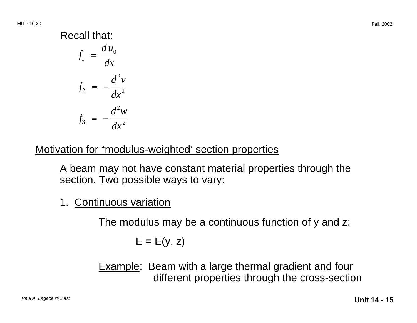### Recall that:

 $f_1 = \frac{du_0}{dx}$  $f_2 = -\frac{d^2v}{dx^2}$  $f_3 = -\frac{d^2w}{dx^2}$ 

### Motivation for "modulus-weighted' section properties

A beam may not have constant material properties through the section. Two possible ways to vary:

1. Continuous variation

The modulus may be a continuous function of y and z:

$$
\mathsf{E}=\mathsf{E}(\mathsf{y},\,\mathsf{z})
$$

Example: Beam with a large thermal gradient and four different properties through the cross-section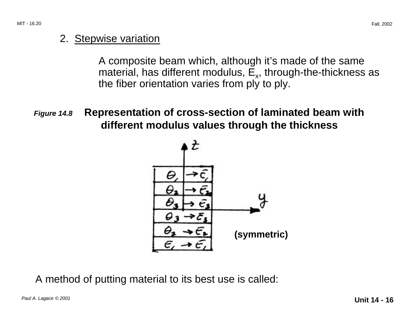#### 2. Stepwise variation

A composite beam which, although it's made of the same material, has different modulus,  $E_{x}$ , through-the-thickness as the fiber orientation varies from ply to ply.

**Figure 14.8 Representation of cross-section of laminated beam with different modulus values through the thickness**



A method of putting material to its best use is called: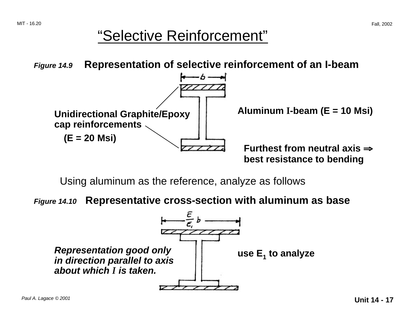### "Selective Reinforcement"

**Figure 14.9 Representation of selective reinforcement of an I-beam**



Using aluminum as the reference, analyze as follows

**Figure 14.10 Representative cross-section with aluminum as base**

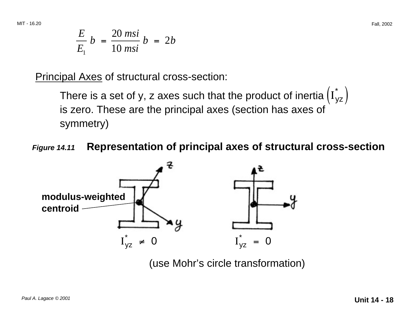$$
\frac{E}{E_1}b = \frac{20 \text{ msi}}{10 \text{ msi}}b = 2b
$$

Principal Axes of structural cross-section:

There is a set of y, z axes such that the product of inertia  $\left(\mathrm{I}_{\mathsf{yz}}^*\right)$ is zero. These are the principal axes (section has axes of symmetry)

**Figure 14.11 Representation of principal axes of structural cross-section**



(use Mohr's circle transformation)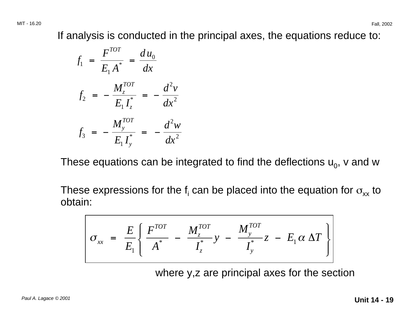If analysis is conducted in the principal axes, the equations reduce to:

$$
f_1 = \frac{F^{TOT}}{E_1 A^*} = \frac{d u_0}{dx}
$$
  

$$
f_2 = -\frac{M_z^{TOT}}{E_1 I_z^*} = -\frac{d^2 v}{dx^2}
$$
  

$$
f_3 = -\frac{M_y^{TOT}}{E_1 I_y^*} = -\frac{d^2 w}{dx^2}
$$

These equations can be integrated to find the deflections  $u_0$ , v and w

These expressions for the f<sub>i</sub> can be placed into the equation for  $\sigma_{xx}$  to obtain:

$$
\sigma_{xx} = \frac{E}{E_1} \left\{ \frac{F^{TOT}}{A^*} - \frac{M_z^{TOT}}{I_z^*} y - \frac{M_y^{TOT}}{I_y^*} z - E_1 \alpha \Delta T \right\}
$$

where y,z are principal axes for the section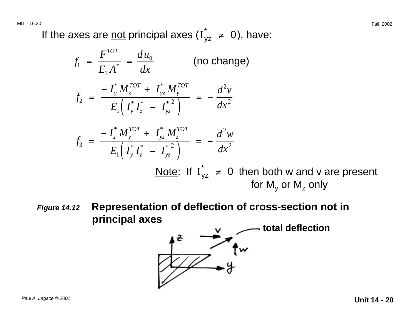If the axes are <u>not</u> principal axes ( $I_{yz}^*$   $\neq$  0), have:

$$
f_1 = \frac{F^{TOT}}{E_1 A^*} = \frac{d u_0}{dx}
$$
 (no change)  
\n
$$
f_2 = \frac{-I_y^* M_z^{TOT} + I_{yz}^* M_y^{TOT}}{E_1 (I_y^* I_z^* - I_{yz}^{*2})} = -\frac{d^2 v}{dx^2}
$$
\n
$$
f_3 = \frac{-I_z^* M_y^{TOT} + I_{yz}^* M_z^{TOT}}{E_1 (I_y^* I_z^* - I_{yz}^{*2})} = -\frac{d^2 w}{dx^2}
$$
\n
$$
\frac{\text{Note: If } I_{yz}^* \neq 0 \text{ then both w and v are present for My or Mz only}
$$

**Figure 14.12 Representation of deflection of cross-section not in** principal axes
y
y
method deflection

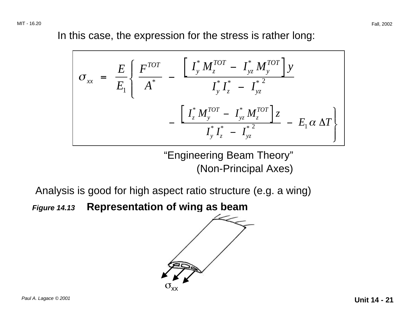In this case, the expression for the stress is rather long:

$$
\sigma_{xx} = \frac{E}{E_1} \left\{ \frac{F^{TOT}}{A^*} - \frac{\left[ \int_y^* M_z^{TOT} - \int_{yz}^* M_y^{TOT} \right] y}{\int_y^* \int_z^* - \int_{yz}^* \right.}{\left. - \frac{\left[ \int_z^* M_y^{TOT} - \int_{yz}^* M_z^{TOT} \right] z}{\int_y^* \int_z^* - \int_{yz}^* \right.}} - E_1 \alpha \Delta T \right\}
$$

"Engineering Beam Theory" (Non-Principal Axes)

Analysis is good for high aspect ratio structure (e.g. a wing)

**Figure 14.13 Representation of wing as beam**

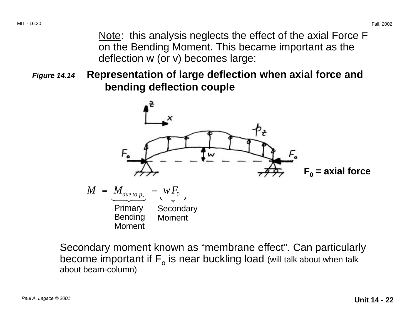Note: this analysis neglects the effect of the axial Force F on the Bending Moment. This became important as the deflection w (or v) becomes large:

**Figure 14.14 Representation of large deflection when axial force and bending deflection couple**



Secondary moment known as "membrane effect". Can particularly become important if  $F_{o}$  is near buckling load (will talk about when talk about beam-column)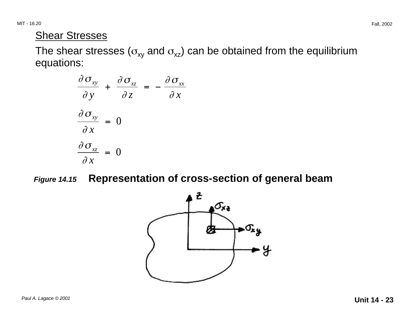MIT - 16.20 Fall, 2002

### **Shear Stresses**

The shear stresses ( $\sigma_{xy}$  and  $\sigma_{xz}$ ) can be obtained from the equilibrium equations:

$$
\frac{\partial \sigma_{xy}}{\partial y} + \frac{\partial \sigma_{xz}}{\partial z} = -\frac{\partial \sigma_{xx}}{\partial x}
$$

$$
\frac{\partial \sigma_{xy}}{\partial x} = 0
$$

$$
\frac{\partial \sigma_{xz}}{\partial x} = 0
$$

**Figure 14.15 Representation of cross-section of general beam**

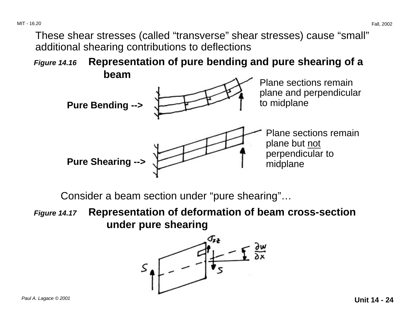MIT - 16.20 Fall, 2002

These shear stresses (called "transverse" shear stresses) cause "small" additional shearing contributions to deflections

**Figure 14.16 Representation of pure bending and pure shearing of a beam**



Consider a beam section under "pure shearing"…

**Figure 14.17 Representation of deformation of beam cross-section under pure shearing**

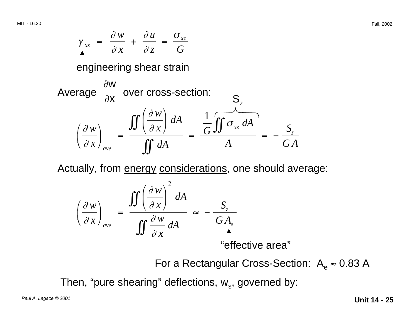

Actually, from energy considerations, one should average:

$$
\left(\frac{\partial w}{\partial x}\right)_{ave} = \frac{\iint \left(\frac{\partial w}{\partial x}\right)^2 dA}{\iint \frac{\partial w}{\partial x} dA} \approx -\frac{S_z}{GA_e}
$$
\n
$$
\stackrel{\text{def}}{=} \frac{S_z}{\text{defective area'}}
$$

For a Rectangular Cross-Section:  $A_e \approx 0.83$  A

Then, "pure shearing" deflections,  $w_s$ , governed by: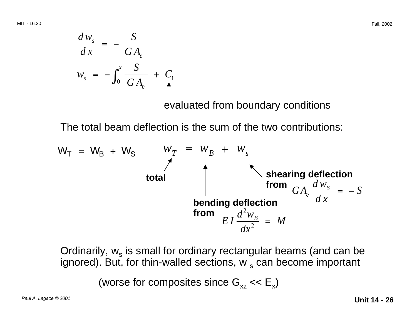MIT - 16.20 Fall, 2002

$$
\frac{dw_s}{dx} = -\frac{S}{GA_e}
$$
\n
$$
w_s = -\int_0^x \frac{S}{GA_e} + C_1
$$
\n
$$
\int_0^x \frac{S}{GA_e} = -\int_0^x \frac{S}{GA_e} + C_1
$$

evaluated from boundary conditions

The total beam deflection is the sum of the two contributions:

$$
W_T = W_B + W_S
$$
  
\n
$$
\begin{array}{c|c}\n & w_T = w_B + w_S \\
\hline\n & \uparrow & \uparrow \\
 & \uparrow & \uparrow \\
 & \uparrow & \uparrow \\
 & \downarrow & \uparrow \\
 & \downarrow & \uparrow \\
 & \downarrow & \uparrow \\
 & \downarrow & \downarrow \\
 & \downarrow & \downarrow\n\end{array}
$$
\n
$$
\begin{array}{c|c}\n\text{shearing deflection} \\
\hline\n & \downarrow & \downarrow \\
 & \downarrow & \downarrow \\
 & \downarrow & \downarrow\n\end{array}
$$
\n
$$
\begin{array}{c|c}\n\text{shearing deflection} \\
\hline\n & \downarrow & \downarrow \\
 & \downarrow & \downarrow\n\end{array}
$$
\n
$$
E I \frac{d^2 w_B}{dx^2} = M
$$

Ordinarily,  $w_s$  is small for ordinary rectangular beams (and can be ignored). But, for thin-walled sections,  $w_s$  can become important

(worse for composites since  $G_{xz} \ll E_{x}$ )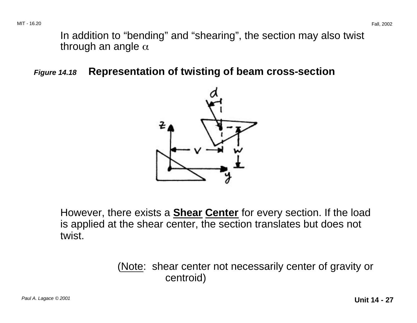In addition to "bending" and "shearing", the section may also twist through an angle  $\alpha$ 

**Figure 14.18 Representation of twisting of beam cross-section**



However, there exists a **Shear Center** for every section. If the load is applied at the shear center, the section translates but does not twist.

> (Note: shear center not necessarily center of gravity or centroid)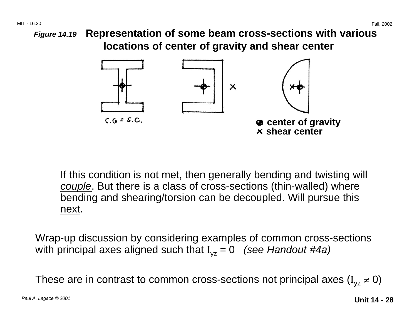MIT - 16.20 Fall, 2002

**Figure 14.19 Representation of some beam cross-sections with various locations of center of gravity and shear center**



If this condition is not met, then generally bending and twisting will couple. But there is a class of cross-sections (thin-walled) where bending and shearing/torsion can be decoupled. Will pursue this next.

Wrap-up discussion by considering examples of common cross-sections with principal axes aligned such that  $I_{vz} = 0$  (see Handout #4a)

These are in contrast to common cross-sections not principal axes ( $I_{vz} \neq 0$ )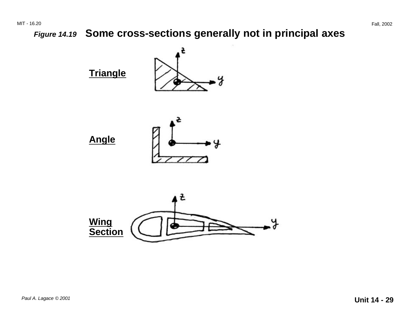**Figure 14.19 Some cross-sections generally not in principal axes**